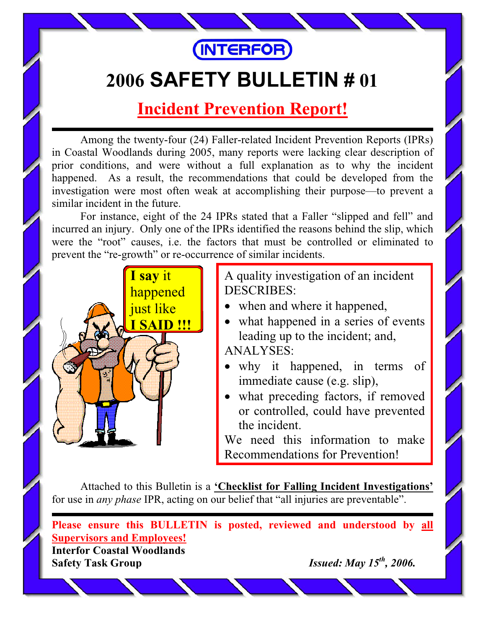

## **2006 SAFETY BULLETIN # 01**

## **Incident Prevention Report!**

Among the twenty-four (24) Faller-related Incident Prevention Reports (IPRs) in Coastal Woodlands during 2005, many reports were lacking clear description of prior conditions, and were without a full explanation as to why the incident happened. As a result, the recommendations that could be developed from the investigation were most often weak at accomplishing their purpose—to prevent a similar incident in the future.

For instance, eight of the 24 IPRs stated that a Faller "slipped and fell" and incurred an injury. Only one of the IPRs identified the reasons behind the slip, which were the "root" causes, i.e. the factors that must be controlled or eliminated to prevent the "re-growth" or re-occurrence of similar incidents.



A quality investigation of an incident DESCRIBES:

- when and where it happened,
- what happened in a series of events leading up to the incident; and, ANALYSES:
- why it happened, in terms of immediate cause (e.g. slip),
- what preceding factors, if removed or controlled, could have prevented the incident.

We need this information to make Recommendations for Prevention!

Attached to this Bulletin is a **'Checklist for Falling Incident Investigations'** for use in *any phase* IPR, acting on our belief that "all injuries are preventable".

**Please ensure this BULLETIN is posted, reviewed and understood by all Supervisors and Employees!**

**Interfor Coastal Woodlands Safety Task Group** *Issued: May 15th, 2006.*